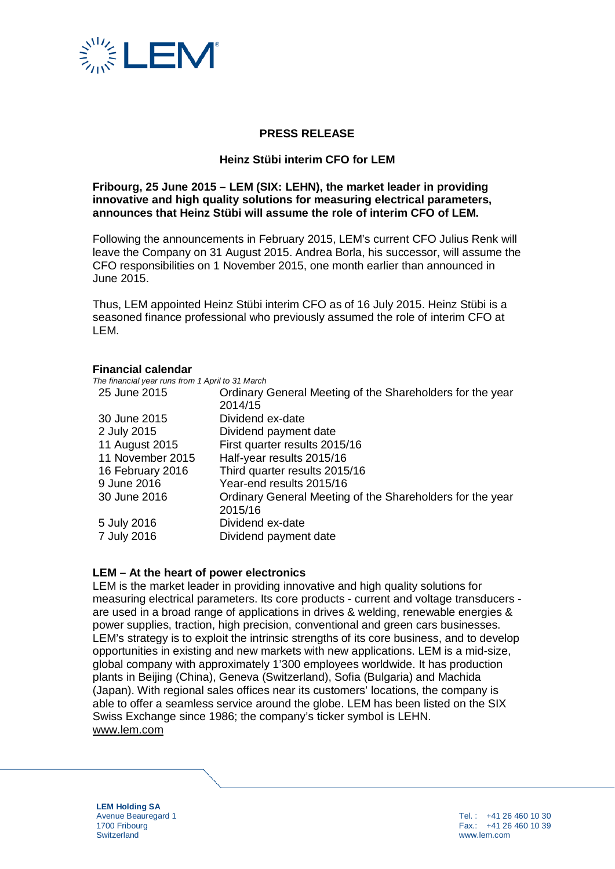

## **PRESS RELEASE**

#### **Heinz Stübi interim CFO for LEM**

### **Fribourg, 25 June 2015 – LEM (SIX: LEHN), the market leader in providing innovative and high quality solutions for measuring electrical parameters, announces that Heinz Stübi will assume the role of interim CFO of LEM.**

Following the announcements in February 2015, LEM's current CFO Julius Renk will leave the Company on 31 August 2015. Andrea Borla, his successor, will assume the CFO responsibilities on 1 November 2015, one month earlier than announced in June 2015.

Thus, LEM appointed Heinz Stübi interim CFO as of 16 July 2015. Heinz Stübi is a seasoned finance professional who previously assumed the role of interim CFO at LEM.

#### **Financial calendar**

| The financial year runs from 1 April to 31 March |                                                           |
|--------------------------------------------------|-----------------------------------------------------------|
| 25 June 2015                                     | Ordinary General Meeting of the Shareholders for the year |
|                                                  | 2014/15                                                   |
| 30 June 2015                                     | Dividend ex-date                                          |
| 2 July 2015                                      | Dividend payment date                                     |
| 11 August 2015                                   | First quarter results 2015/16                             |
| 11 November 2015                                 | Half-year results 2015/16                                 |
| 16 February 2016                                 | Third quarter results 2015/16                             |
| 9 June 2016                                      | Year-end results 2015/16                                  |
| 30 June 2016                                     | Ordinary General Meeting of the Shareholders for the year |
|                                                  | 2015/16                                                   |
| 5 July 2016                                      | Dividend ex-date                                          |
| 7 July 2016                                      | Dividend payment date                                     |

#### **LEM – At the heart of power electronics**

LEM is the market leader in providing innovative and high quality solutions for measuring electrical parameters. Its core products - current and voltage transducers are used in a broad range of applications in drives & welding, renewable energies & power supplies, traction, high precision, conventional and green cars businesses. LEM's strategy is to exploit the intrinsic strengths of its core business, and to develop opportunities in existing and new markets with new applications. LEM is a mid-size, global company with approximately 1'300 employees worldwide. It has production plants in Beijing (China), Geneva (Switzerland), Sofia (Bulgaria) and Machida (Japan). With regional sales offices near its customers' locations, the company is able to offer a seamless service around the globe. LEM has been listed on the SIX Swiss Exchange since 1986; the company's ticker symbol is LEHN. [www.lem.com](http://www.lem.com/)

**LEM Holding SA** Avenue Beauregard 1 1700 Fribourg **Switzerland**